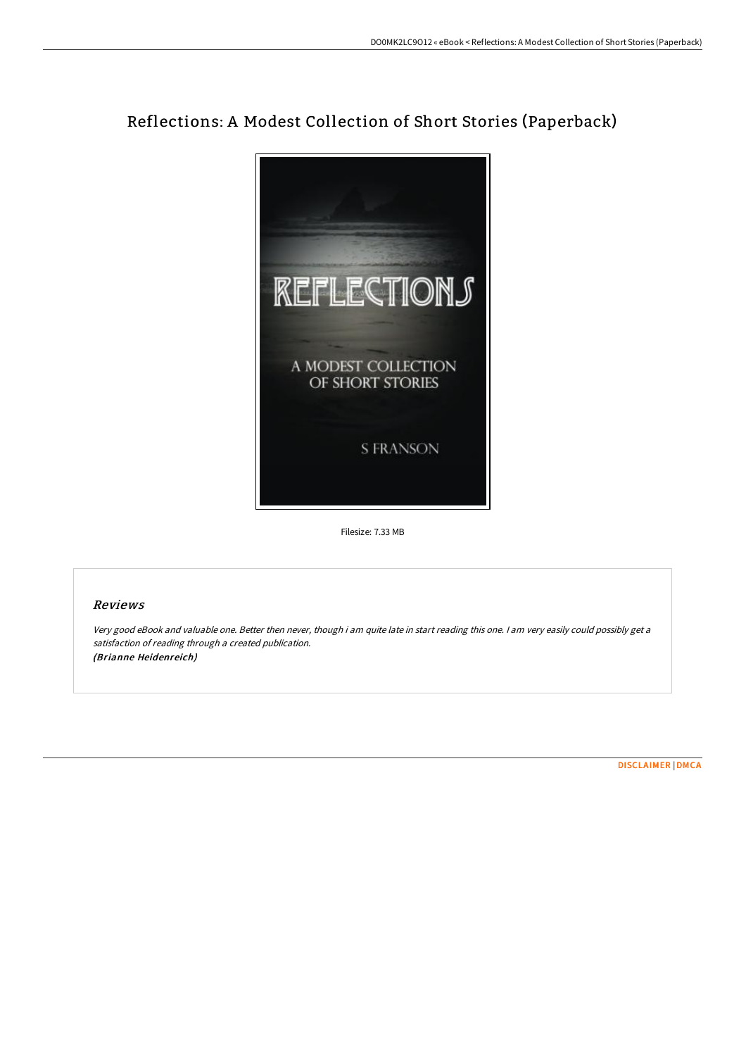## Reflections: A Modest Collection of Short Stories (Paperback)



Filesize: 7.33 MB

## Reviews

Very good eBook and valuable one. Better then never, though i am quite late in start reading this one. I am very easily could possibly get <sup>a</sup> satisfaction of reading through <sup>a</sup> created publication. (Brianne Heidenreich)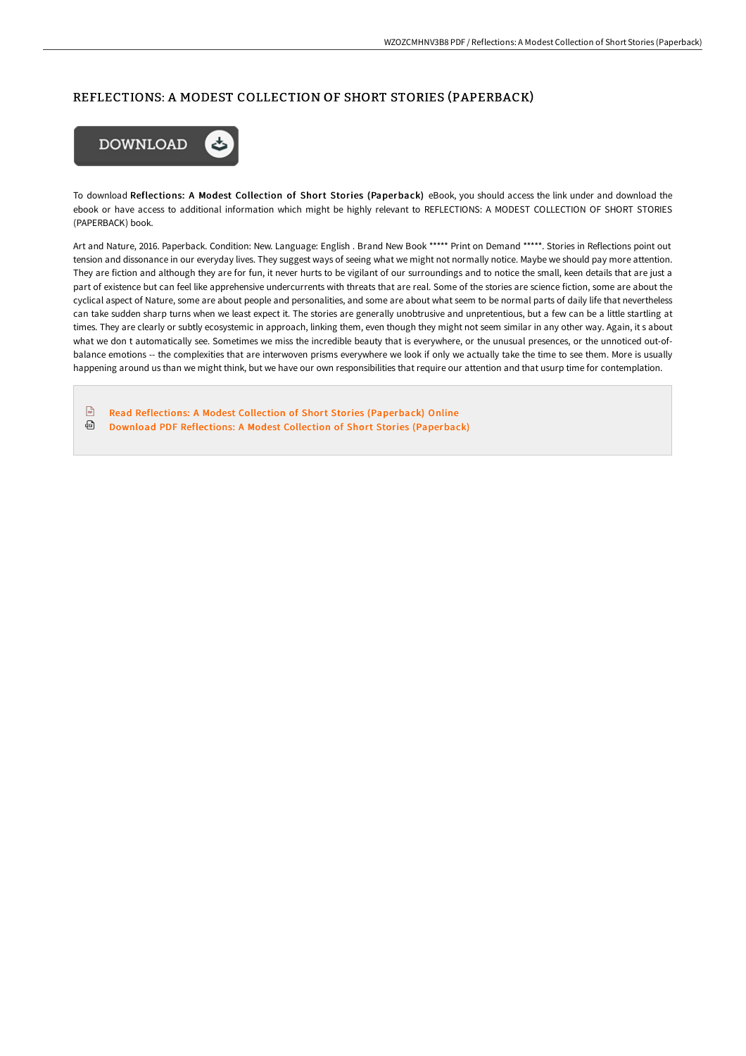## REFLECTIONS: A MODEST COLLECTION OF SHORT STORIES (PAPERBACK)



To download Reflections: A Modest Collection of Short Stories (Paperback) eBook, you should access the link under and download the ebook or have access to additional information which might be highly relevant to REFLECTIONS: A MODEST COLLECTION OF SHORT STORIES (PAPERBACK) book.

Art and Nature, 2016. Paperback. Condition: New. Language: English . Brand New Book \*\*\*\*\* Print on Demand \*\*\*\*\*. Stories in Reflections point out tension and dissonance in our everyday lives. They suggest ways of seeing what we might not normally notice. Maybe we should pay more attention. They are fiction and although they are for fun, it never hurts to be vigilant of our surroundings and to notice the small, keen details that are just a part of existence but can feel like apprehensive undercurrents with threats that are real. Some of the stories are science fiction, some are about the cyclical aspect of Nature, some are about people and personalities, and some are about what seem to be normal parts of daily life that nevertheless can take sudden sharp turns when we least expect it. The stories are generally unobtrusive and unpretentious, but a few can be a little startling at times. They are clearly or subtly ecosystemic in approach, linking them, even though they might not seem similar in any other way. Again, it s about what we don t automatically see. Sometimes we miss the incredible beauty that is everywhere, or the unusual presences, or the unnoticed out-ofbalance emotions -- the complexities that are interwoven prisms everywhere we look if only we actually take the time to see them. More is usually happening around us than we might think, but we have our own responsibilities that require our attention and that usurp time for contemplation.

 $\sqrt{m}$ Read Reflections: A Modest Collection of Short Stories [\(Paperback\)](http://techno-pub.tech/reflections-a-modest-collection-of-short-stories.html) Online ⊕ Download PDF Reflections: A Modest Collection of Short Stories [\(Paperback\)](http://techno-pub.tech/reflections-a-modest-collection-of-short-stories.html)